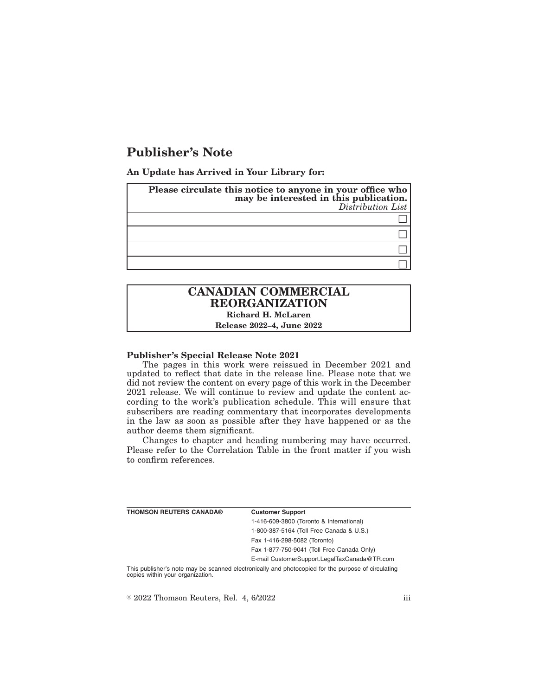# **Publisher's Note**

**An Update has Arrived in Your Library for:**

| Please circulate this notice to anyone in your office who<br>may be interested in this publication.<br>Distribution List |
|--------------------------------------------------------------------------------------------------------------------------|
|                                                                                                                          |
|                                                                                                                          |
|                                                                                                                          |
|                                                                                                                          |

# **CANADIAN COMMERCIAL REORGANIZATION Richard H. McLaren**

**Release 2022–4, June 2022**

### **Publisher's Special Release Note 2021**

The pages in this work were reissued in December 2021 and updated to reflect that date in the release line. Please note that we did not review the content on every page of this work in the December 2021 release. We will continue to review and update the content according to the work's publication schedule. This will ensure that subscribers are reading commentary that incorporates developments in the law as soon as possible after they have happened or as the author deems them significant.

Changes to chapter and heading numbering may have occurred. Please refer to the Correlation Table in the front matter if you wish to confirm references.

| THOMSON REUTERS CANADA® | <b>Customer Support</b>                      |
|-------------------------|----------------------------------------------|
|                         | 1-416-609-3800 (Toronto & International)     |
|                         | 1-800-387-5164 (Toll Free Canada & U.S.)     |
|                         | Fax 1-416-298-5082 (Toronto)                 |
|                         | Fax 1-877-750-9041 (Toll Free Canada Only)   |
|                         | E-mail CustomerSupport.LegalTaxCanada@TR.com |
|                         |                                              |

This publisher's note may be scanned electronically and photocopied for the purpose of circulating copies within your organization.

 $\degree$  2022 Thomson Reuters, Rel. 4, 6/2022 iii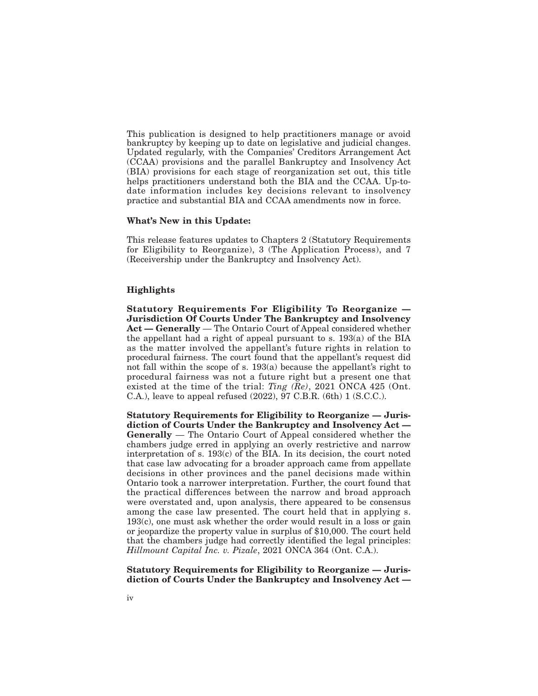This publication is designed to help practitioners manage or avoid bankruptcy by keeping up to date on legislative and judicial changes. Updated regularly, with the Companies' Creditors Arrangement Act (CCAA) provisions and the parallel Bankruptcy and Insolvency Act (BIA) provisions for each stage of reorganization set out, this title helps practitioners understand both the BIA and the CCAA. Up-todate information includes key decisions relevant to insolvency practice and substantial BIA and CCAA amendments now in force.

#### **What's New in this Update:**

This release features updates to Chapters 2 (Statutory Requirements for Eligibility to Reorganize), 3 (The Application Process), and 7 (Receivership under the Bankruptcy and Insolvency Act).

### **Highlights**

**Statutory Requirements For Eligibility To Reorganize — Jurisdiction Of Courts Under The Bankruptcy and Insolvency Act — Generally** — The Ontario Court of Appeal considered whether the appellant had a right of appeal pursuant to s. 193(a) of the BIA as the matter involved the appellant's future rights in relation to procedural fairness. The court found that the appellant's request did not fall within the scope of s. 193(a) because the appellant's right to procedural fairness was not a future right but a present one that existed at the time of the trial: *Ting (Re)*, 2021 ONCA 425 (Ont. C.A.), leave to appeal refused (2022), 97 C.B.R. (6th) 1 (S.C.C.).

**Statutory Requirements for Eligibility to Reorganize — Jurisdiction of Courts Under the Bankruptcy and Insolvency Act — Generally** — The Ontario Court of Appeal considered whether the chambers judge erred in applying an overly restrictive and narrow interpretation of s. 193(c) of the BIA. In its decision, the court noted that case law advocating for a broader approach came from appellate decisions in other provinces and the panel decisions made within Ontario took a narrower interpretation. Further, the court found that the practical differences between the narrow and broad approach were overstated and, upon analysis, there appeared to be consensus among the case law presented. The court held that in applying s. 193(c), one must ask whether the order would result in a loss or gain or jeopardize the property value in surplus of \$10,000. The court held that the chambers judge had correctly identified the legal principles: *Hillmount Capital Inc. v. Pizale*, 2021 ONCA 364 (Ont. C.A.).

**Statutory Requirements for Eligibility to Reorganize — Jurisdiction of Courts Under the Bankruptcy and Insolvency Act —**